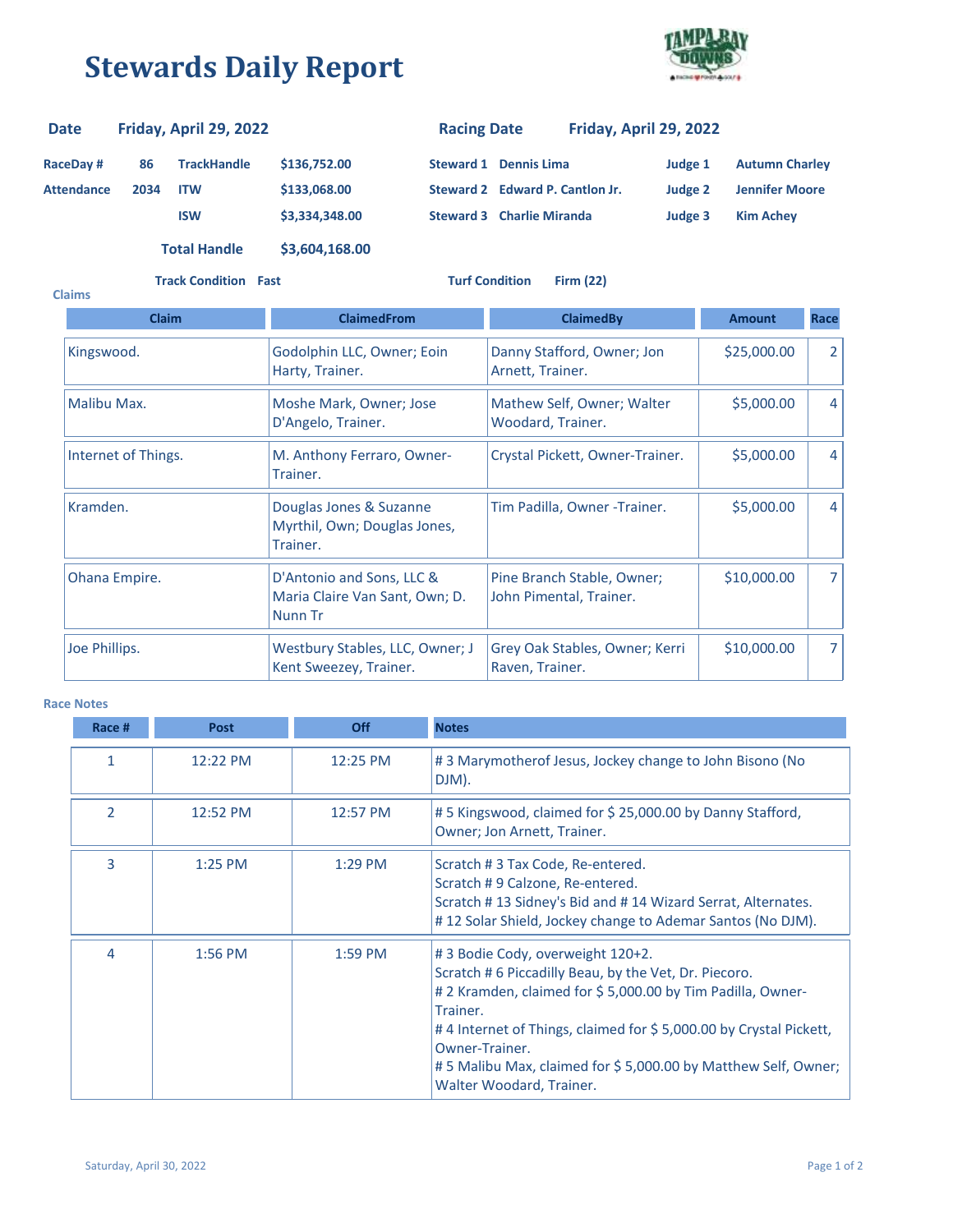## **Stewards Daily Report**



| <b>Date</b>       | Friday, April 29, 2022 |                     |                | <b>Racing Date</b>               |  | Friday, April 29, 2022          |         |                       |
|-------------------|------------------------|---------------------|----------------|----------------------------------|--|---------------------------------|---------|-----------------------|
| <b>RaceDay#</b>   | 86                     | <b>TrackHandle</b>  | \$136,752.00   | <b>Steward 1 Dennis Lima</b>     |  |                                 | Judge 1 | <b>Autumn Charley</b> |
| <b>Attendance</b> | 2034                   | <b>ITW</b>          | \$133,068.00   |                                  |  | Steward 2 Edward P. Cantlon Jr. | Judge 2 | <b>Jennifer Moore</b> |
|                   |                        | <b>ISW</b>          | \$3,334,348.00 | <b>Steward 3 Charlie Miranda</b> |  |                                 | Judge 3 | <b>Kim Achev</b>      |
|                   |                        | <b>Total Handle</b> | \$3,604,168.00 |                                  |  |                                 |         |                       |

**Track Condition Fast Turf Condition Firm (22)**

| <b>Claims</b>       |                                                                        |                                                       |               |                |
|---------------------|------------------------------------------------------------------------|-------------------------------------------------------|---------------|----------------|
| <b>Claim</b>        | <b>ClaimedFrom</b>                                                     | <b>ClaimedBy</b>                                      | <b>Amount</b> | Race           |
| Kingswood.          | Godolphin LLC, Owner; Eoin<br>Harty, Trainer.                          | Danny Stafford, Owner; Jon<br>Arnett, Trainer.        | \$25,000.00   | $\overline{2}$ |
| Malibu Max.         | Moshe Mark, Owner; Jose<br>D'Angelo, Trainer.                          | Mathew Self, Owner; Walter<br>Woodard, Trainer.       | \$5,000.00    | $\overline{4}$ |
| Internet of Things. | M. Anthony Ferraro, Owner-<br>Trainer.                                 | Crystal Pickett, Owner-Trainer.                       | \$5,000.00    | $\overline{4}$ |
| Kramden.            | Douglas Jones & Suzanne<br>Myrthil, Own; Douglas Jones,<br>Trainer.    | Tim Padilla, Owner -Trainer.                          | \$5,000.00    | 4              |
| Ohana Empire.       | D'Antonio and Sons, LLC &<br>Maria Claire Van Sant, Own; D.<br>Nunn Tr | Pine Branch Stable, Owner;<br>John Pimental, Trainer. | \$10,000.00   | 7              |
| Joe Phillips.       | Westbury Stables, LLC, Owner; J<br>Kent Sweezey, Trainer.              | Grey Oak Stables, Owner; Kerri<br>Raven, Trainer.     | \$10,000.00   | $\overline{7}$ |

## **Race Notes**

| Race #                   | <b>Post</b> | <b>Off</b> | <b>Notes</b>                                                                                                                                                                                                                                                                                                                                            |
|--------------------------|-------------|------------|---------------------------------------------------------------------------------------------------------------------------------------------------------------------------------------------------------------------------------------------------------------------------------------------------------------------------------------------------------|
| 1                        | 12:22 PM    | 12:25 PM   | #3 Marymother of Jesus, Jockey change to John Bisono (No<br>DJM).                                                                                                                                                                                                                                                                                       |
| $\overline{\phantom{a}}$ | 12:52 PM    | 12:57 PM   | #5 Kingswood, claimed for \$25,000.00 by Danny Stafford,<br>Owner; Jon Arnett, Trainer.                                                                                                                                                                                                                                                                 |
| 3                        | $1:25$ PM   | $1:29$ PM  | Scratch #3 Tax Code, Re-entered.<br>Scratch #9 Calzone, Re-entered.<br>Scratch #13 Sidney's Bid and #14 Wizard Serrat, Alternates.<br>#12 Solar Shield, Jockey change to Ademar Santos (No DJM).                                                                                                                                                        |
| 4                        | $1:56$ PM   | $1:59$ PM  | #3 Bodie Cody, overweight 120+2.<br>Scratch #6 Piccadilly Beau, by the Vet, Dr. Piecoro.<br># 2 Kramden, claimed for \$ 5,000.00 by Tim Padilla, Owner-<br>Trainer.<br>#4 Internet of Things, claimed for \$5,000.00 by Crystal Pickett,<br>Owner-Trainer.<br>#5 Malibu Max, claimed for \$5,000.00 by Matthew Self, Owner;<br>Walter Woodard, Trainer. |